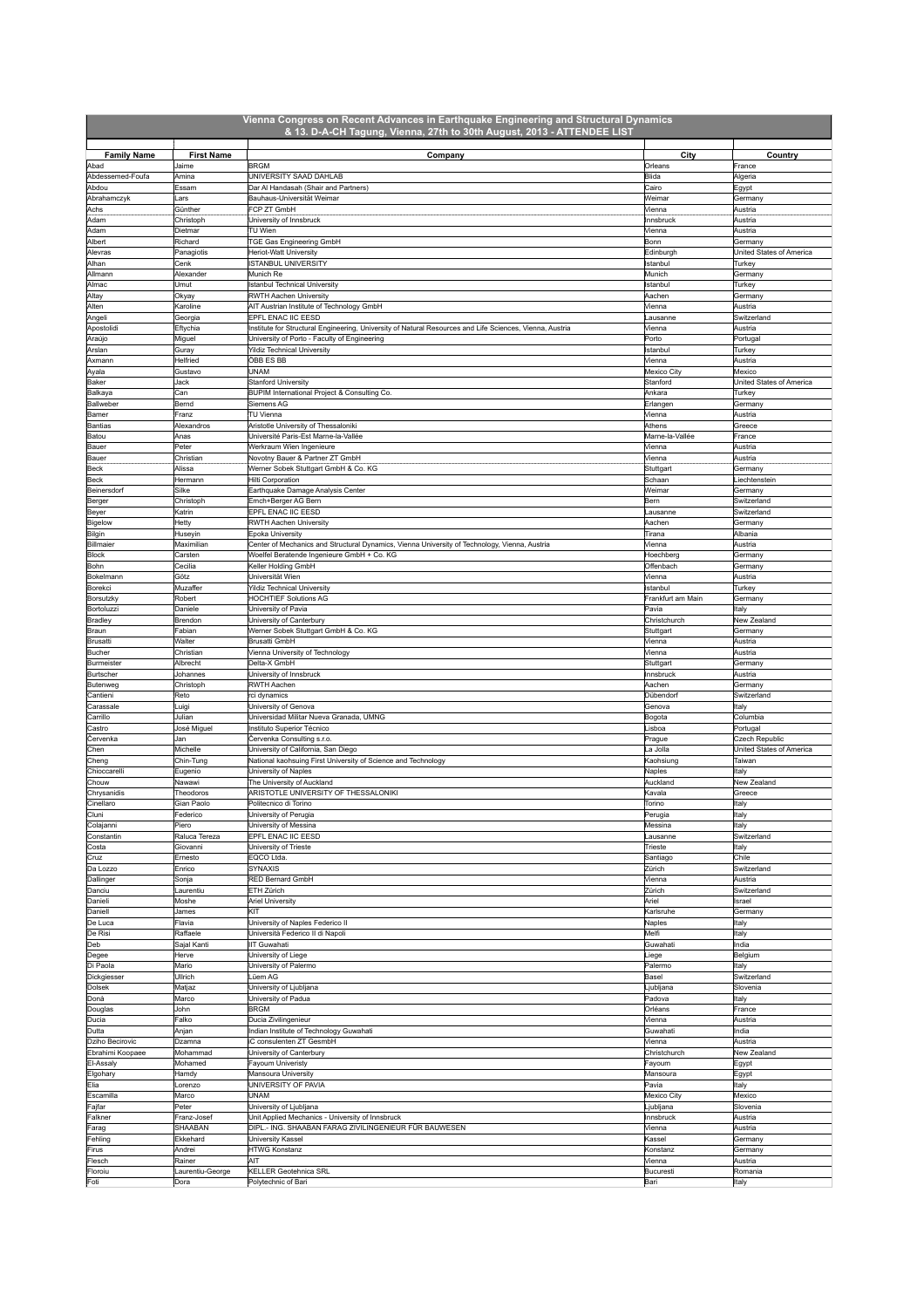|                               |                            | Vienna Congress on Recent Advances in Earthquake Engineering and Structural Dynamics<br>& 13. D-A-CH Tagung, Vienna, 27th to 30th August, 2013 - ATTENDEE LIST |                            |                                    |
|-------------------------------|----------------------------|----------------------------------------------------------------------------------------------------------------------------------------------------------------|----------------------------|------------------------------------|
|                               |                            |                                                                                                                                                                |                            |                                    |
| <b>Family Name</b><br>Abad    | <b>First Name</b><br>Jaime | Company<br><b>BRGM</b>                                                                                                                                         | City<br>Orleans            | Country<br>France                  |
| Abdessemed-Foufa              | Amina                      | UNIVERSITY SAAD DAHLAB                                                                                                                                         | Blida                      | Algeria                            |
| Abdou                         | Essam                      | Dar Al Handasah (Shair and Partners)                                                                                                                           | Cairo                      | Egypt                              |
| Abrahamczyk<br>Achs           | Lars<br>Günther            | Bauhaus-Universität Weimar<br>FCP ZT GmbH                                                                                                                      | Weimar<br>Vienna           | Germany<br>Austria                 |
| Adam                          | Christoph                  | University of Innsbruck                                                                                                                                        | Innsbruck                  | Austria                            |
| Adam                          | Dietmar                    | TU Wien                                                                                                                                                        | Vienna                     | Austria                            |
| Albert                        | Richard                    | TGE Gas Engineering GmbH                                                                                                                                       | Bonn                       | Germany                            |
| Alevras<br>Alhan              | Panagiotis<br>Cenk         | Heriot-Watt University<br><b>ISTANBUL UNIVERSITY</b>                                                                                                           | Edinburgh<br>Istanbu       | United States of America<br>Turkey |
| Allmann                       | Alexander                  | Munich Re                                                                                                                                                      | Munich                     | Germany                            |
| Almac                         | Umut                       | <b>Istanbul Technical University</b>                                                                                                                           | Istanbul                   | Turkey                             |
| Altay                         | Okyay                      | RWTH Aachen University                                                                                                                                         | Aachen                     | Germany                            |
| Alten                         | Karoline                   | AIT Austrian Institute of Technology GmbH<br>EPFL ENAC IIC EESD                                                                                                | Vienna                     | Austria<br>Switzerland             |
| Angeli<br>Apostolid           | Georgia<br>Eftychia        | Institute for Structural Engineering, University of Natural Resources and Life Sciences, Vienna, Austria                                                       | Lausanne<br>Vienna         | Austria                            |
| Araújo                        | Miguel                     | University of Porto - Faculty of Engineering                                                                                                                   | Porto                      | Portuga                            |
| Arslan                        | Guray                      | <b>Yildiz Technical University</b>                                                                                                                             | Istanbul                   | Turkey                             |
| Axmann                        | Helfried                   | ÖBB ES BB<br>UNAM                                                                                                                                              | Vienna                     | Austria<br>Mexico                  |
| Ayala<br>Baker                | Gustavo<br>Jack            | <b>Stanford University</b>                                                                                                                                     | Mexico City<br>Stanford    | United States of America           |
| Balkaya                       | Can                        | BUPIM International Project & Consulting Co.                                                                                                                   | Ankara                     | Turkey                             |
| Ballweber                     | Bernd                      | Siemens AG                                                                                                                                                     | Erlangen                   | Germany                            |
| Bamer                         | Franz                      | TU Vienna                                                                                                                                                      | Vienna                     | Austria                            |
| Bantias<br>Batou              | Alexandros<br>Anas         | Aristotle University of Thessaloniki<br>Université Paris-Est Marne-la-Vallée                                                                                   | Athens<br>Marne-la-Vallée  | Greece<br>France                   |
| Bauer                         | Peter                      | Werkraum Wien Ingenieure                                                                                                                                       | Vienna                     | Austria                            |
| Bauer                         | Christian                  | Novotny Bauer & Partner ZT GmbH                                                                                                                                | Vienna                     | Austria                            |
| Beck                          | Alissa                     | Werner Sobek Stuttgart GmbH & Co. KG                                                                                                                           | Stuttgart                  | Germany                            |
| Beck                          | Hermann                    | Hilti Corporation                                                                                                                                              | Schaan                     | Liechtenstein                      |
| Beinersdorf<br>Berger         | Silke<br>Christoph         | Earthquake Damage Analysis Center<br>Emch+Berger AG Bern                                                                                                       | Weimar<br>Bern             | Germany<br>Switzerland             |
| Beyer                         | Katrin                     | EPFL ENAC IIC EESD                                                                                                                                             | ausanne                    | Switzerland                        |
| Bigelow                       | Hetty                      | RWTH Aachen University                                                                                                                                         | Aachen                     | Germany                            |
| Bilgin                        | Huseyin                    | Epoka University                                                                                                                                               | Tirana                     | Albania                            |
| Billmaier<br><b>Block</b>     | Maximilian<br>Carsten      | Center of Mechanics and Structural Dynamics, Vienna University of Technology, Vienna, Austria<br>Woelfel Beratende Ingenieure GmbH + Co. KG                    | Vienna<br>Hoechberg        | Austria<br>Germany                 |
| Bohn                          | Cecilia                    | Keller Holding GmbH                                                                                                                                            | Offenbach                  | Germany                            |
| Bokelmann                     | Götz                       | Universität Wien                                                                                                                                               | Vienna                     | Austria                            |
| Borekci                       | Muzaffer                   | <b>Yildiz Technical University</b>                                                                                                                             | Istanbul                   | Turkey                             |
| Borsutzky                     | Robert<br>Daniele          | <b>HOCHTIEF Solutions AG</b><br>University of Pavia                                                                                                            | Frankfurt am Main<br>Pavia | Germany<br>Italy                   |
| Bortoluzz<br><b>Bradley</b>   | Brendon                    | University of Canterbury                                                                                                                                       | Christchurch               | New Zealand                        |
| Braun                         | Fabian                     | Werner Sobek Stuttgart GmbH & Co. KG                                                                                                                           | Stuttgart                  | Germany                            |
| <b>Brusatti</b>               | Walter                     | <b>Brusatti GmbH</b>                                                                                                                                           | Vienna                     | Austria                            |
| Bucher                        | Christian                  | Vienna University of Technology                                                                                                                                | Vienna                     | Austria                            |
| Burmeister<br>Burtscher       | Albrecht<br>Johannes       | Delta-X GmbH<br>University of Innsbruck                                                                                                                        | Stuttgart<br>Innsbruck     | German<br>Austria                  |
| Butenweg                      | Christoph                  | RWTH Aachen                                                                                                                                                    | Aachen                     | Germany                            |
| Cantieni                      | Reto                       | rci dynamics                                                                                                                                                   | Dübendorl                  | Switzerland                        |
| Carassale<br>Carrillo         | Luigi<br>Julian            | University of Genova<br>Universidad Militar Nueva Granada, UMNG                                                                                                | Genova<br>Bogota           | Italy<br>Columbia                  |
| Castro                        | José Miguel                | Instituto Superior Técnico                                                                                                                                     | Lisboa                     | Portugal                           |
| Červenka                      | Jan                        | Červenka Consulting s.r.o                                                                                                                                      | Prague                     | Czech Republic                     |
| Chen                          | Michelle                   | University of California, San Diego                                                                                                                            | La Jolla                   | United States of America           |
| Cheng                         | Chin-Tung                  | National kaohsuing First University of Science and Technology<br>University of Naples                                                                          | Kaohsiung                  | Taiwan<br>Italy                    |
| Chioccarelli<br>Chouw         | Eugenio<br>Nawawi          | The University of Auckland                                                                                                                                     | Naples<br>Auckland         | New Zealand                        |
| Chrysanidis                   | Theodoros                  | ARISTOTLE UNIVERSITY OF THESSALONIKI                                                                                                                           | Kavala                     | Greece                             |
| Cinellaro                     | Gian Paolo                 | Politecnico di Torino                                                                                                                                          | Torino                     | Italy                              |
| Cluni                         | Federico                   | University of Perugia                                                                                                                                          | Perugia                    | Italy                              |
| Colajanni<br>Constantin       | Piero<br>Raluca Tereza     | University of Messina<br>EPFL ENAC IIC EESD                                                                                                                    | Messina<br>Lausanne        | Italy<br>Switzerland               |
| Costa                         | Giovanni                   | University of Trieste                                                                                                                                          | Trieste                    | Italy                              |
| Cruz                          | Ernesto                    | EQCO Ltda.                                                                                                                                                     | Santiago                   | Chile                              |
| Da Lozzo                      | Enrico                     | SYNAXIS                                                                                                                                                        | Zürich                     | Switzerland                        |
| Dallinger<br>Danciu           | Sonja<br>aurentiu          | RED Bernard GmbH<br>ETH Zürich                                                                                                                                 | Vienna<br>Zürich           | Austria<br>Switzerland             |
| Danieli                       | Moshe                      | <b>Ariel University</b>                                                                                                                                        | Ariel                      | Israel                             |
| Daniell                       | James                      | KIT                                                                                                                                                            | Karlsruhe                  | Germany                            |
| De Luca                       | Flavia                     | University of Naples Federico II                                                                                                                               | Naples                     | Italy                              |
| De Risi<br>Deb                | Raffaele<br>Sajal Kanti    | Università Federico II di Napoli<br><b>IIT Guwahati</b>                                                                                                        | Melfi<br>Guwahati          | Italy<br>India                     |
| Degee                         | Herve                      | University of Liege                                                                                                                                            | Liege                      | Belgium                            |
| Di Paola                      | Mario                      | University of Palermo                                                                                                                                          | Palermo                    | Italy                              |
| Dickgiesser                   | Ullrich                    | Lüem AG                                                                                                                                                        | Basel                      | Switzerland                        |
| Dolsek                        | Matjaz<br>Marco            | University of Ljubljana<br>University of Padua                                                                                                                 | jubljana                   | İSlovenia<br>Italy                 |
| Donà<br>Douglas               | John                       | <b>BRGM</b>                                                                                                                                                    | Padova<br>Orléans          | France                             |
| Ducia                         | Falko                      | Ducia Zivilingenieur                                                                                                                                           | Vienna                     | Austria                            |
| Dutta                         | Anjan                      | Indian Institute of Technology Guwahati                                                                                                                        | Guwahati                   | India                              |
| Dziho Becirovic               | Dzamna                     | iC consulenten ZT GesmbH                                                                                                                                       | Vienna                     | Austria                            |
| Ebrahimi Koopaee<br>El-Assaly | Mohammad<br>Mohamed        | University of Canterbury<br>Fayoum Univeristy                                                                                                                  | Christchurch<br>Fayoum     | New Zealand<br>Egypt               |
| Elgohary                      | Hamdy                      | Mansoura University                                                                                                                                            | Mansoura                   | Egypt                              |
| Elia                          | Lorenzo                    | UNIVERSITY OF PAVIA                                                                                                                                            | Pavia                      | <b>Italy</b>                       |
| Escamilla                     | Marco                      | UNAM                                                                                                                                                           | Mexico City                | Mexico                             |
| Fajfar<br>Falkner             | Peter<br>Franz-Josef       | University of Ljubljana<br>Unit Applied Mechanics - University of Innsbruck                                                                                    | Ljubljana<br>Innsbruck     | Slovenia<br>Austria                |
| Farag                         | SHAABAN                    | DIPL.- ING. SHAABAN FARAG ZIVILINGENIEUR FÜR BAUWESEN                                                                                                          | Vienna                     | Austria                            |
| Fehling                       | Ekkehard                   | University Kassel                                                                                                                                              | Kassel                     | Germany                            |
| Firus                         | Andrei                     | <b>HTWG Konstanz</b>                                                                                                                                           | Konstanz                   | Germany                            |
| Flesch<br>Floroiu             | Rainer<br>Laurentiu-George | AIT<br><b>KELLER Geotehnica SRL</b>                                                                                                                            | Vienna<br>Bucuresti        | Austria<br>Romania                 |
| Foti                          | Dora                       | Polytechnic of Bari                                                                                                                                            | Bar                        | Italy                              |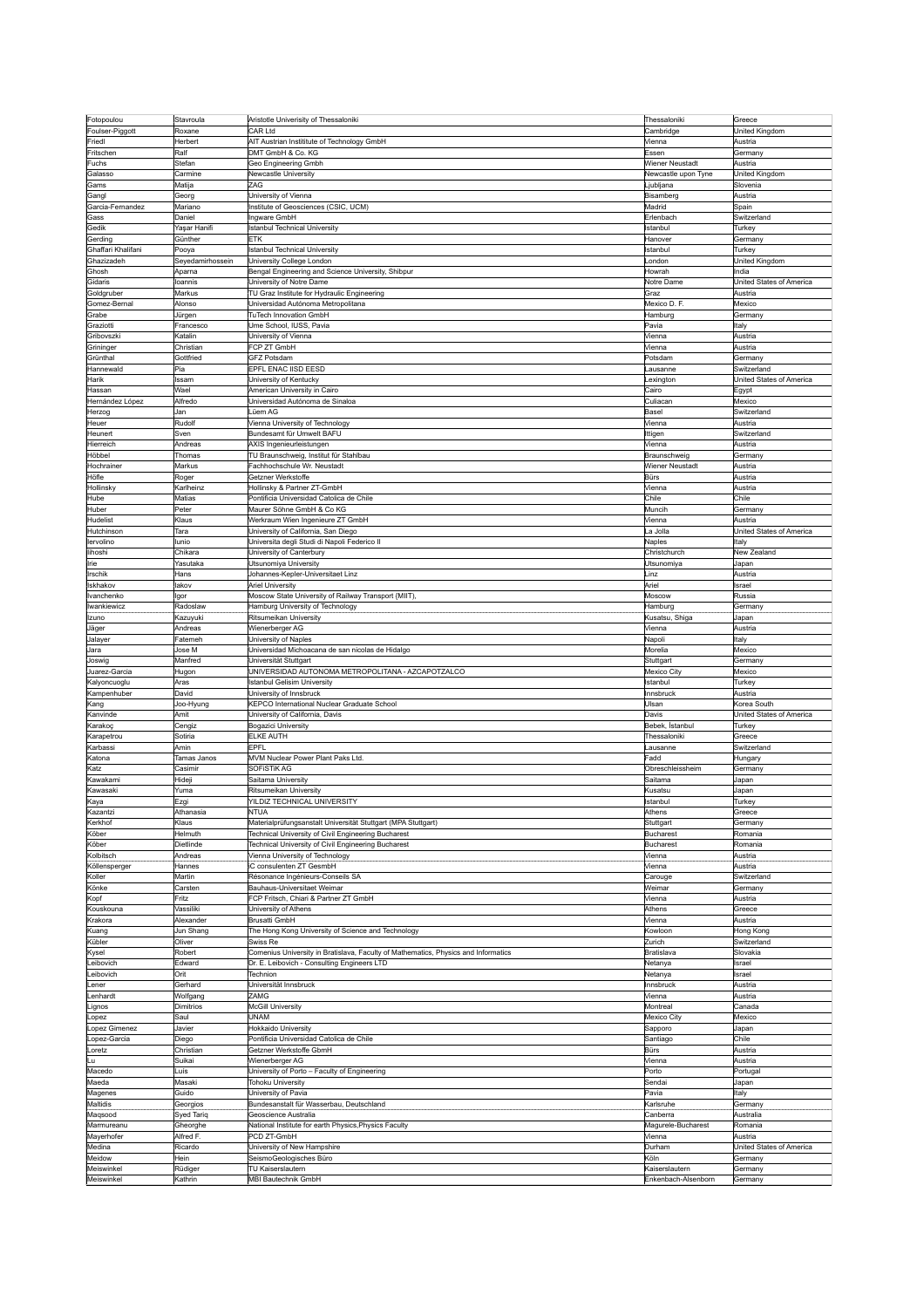|                               | Stavroula                                                                             | Aristotle Univerisity of Thessaloniki                                              | Thessaloniki                          | Greece                   |
|-------------------------------|---------------------------------------------------------------------------------------|------------------------------------------------------------------------------------|---------------------------------------|--------------------------|
| Fotopoulou<br>Foulser-Piggott | Roxane                                                                                | CAR Ltd                                                                            | Cambridge                             | United Kingdom           |
|                               |                                                                                       |                                                                                    |                                       |                          |
| Friedl                        | Herbert                                                                               | AIT Austrian Instititute of Technology GmbH                                        | Vienna                                | Austria                  |
| Fritschen                     | Ralf                                                                                  | DMT GmbH & Co. KG                                                                  | Essen                                 | Germany                  |
| Fuchs                         | Stefan                                                                                | Geo Engineering Gmbh                                                               | Wiener Neustadt                       | Austria                  |
| Galasso                       | Carmine                                                                               | Newcastle University                                                               | Newcastle upon Tyne                   | United Kingdom           |
| Gams                          | Matija                                                                                | ZAG                                                                                | Ljubljana                             | Slovenia                 |
| Gangl                         | Georg                                                                                 | University of Vienna                                                               | Bisamberg                             | Austria                  |
| Garcia-Fernandez              | Mariano                                                                               | Institute of Geosciences (CSIC, UCM)                                               | Madrid                                | Spain                    |
|                               |                                                                                       |                                                                                    |                                       |                          |
| Gass                          | Daniel                                                                                | Ingware GmbH                                                                       | Erlenbach                             | Switzerland              |
| Gedik                         | Yaşar Hanifi                                                                          | <b>Istanbul Technical University</b>                                               | Istanbul                              | Turkey                   |
| Gerding                       | Günther                                                                               | ETK                                                                                | Hanover                               | Germany                  |
| Ghaffari Khalifani            | Pooya                                                                                 | <b>Istanbul Technical University</b>                                               | Istanbul                              | Turkey                   |
| Ghazizadeh                    | Seyedamirhossein                                                                      | University College London                                                          | London                                | United Kingdom           |
| Ghosh                         | Aparna                                                                                | Bengal Engineering and Science University, Shibpur                                 | Howrah                                | India                    |
|                               |                                                                                       |                                                                                    |                                       |                          |
| Gidaris                       | loannis                                                                               | University of Notre Dame                                                           | Notre Dame                            | United States of America |
| Goldgruber                    | Markus                                                                                | TU Graz Institute for Hydraulic Engineering                                        | Graz                                  | Austria                  |
| Gomez-Bernal                  | Alonso                                                                                | Universidad Autónoma Metropolitana                                                 | Mexico D. F.                          | Mexico                   |
| Grabe                         | Jürgen                                                                                | TuTech Innovation GmbH                                                             | Hamburg                               | Germany                  |
| Graziotti                     | rancesco                                                                              | Ume School, IUSS, Pavia                                                            | Pavia                                 | Italy                    |
| Gribovszk                     | <atalin< td=""><td>University of Vienna</td><td>Vienna</td><td>Austria</td></atalin<> | University of Vienna                                                               | Vienna                                | Austria                  |
|                               | Christian                                                                             | FCP ZT GmbH                                                                        | Vienna                                | Austria                  |
| Grininger                     |                                                                                       |                                                                                    |                                       |                          |
| Grünthal                      | Gottfried                                                                             | GFZ Potsdam                                                                        | Potsdam                               | Germany                  |
| Hannewald                     | Pia                                                                                   | EPFL ENAC IISD EESD                                                                | Lausanne                              | Switzerland              |
| Harik                         | Issam                                                                                 | University of Kentucky                                                             | Lexington                             | United States of America |
| Hassan                        | Wael                                                                                  | American University in Cairo                                                       | Cairo                                 | Egypt                    |
| Hernández López               | Alfredo                                                                               | Universidad Autónoma de Sinaloa                                                    | Culiacan                              | Mexico                   |
|                               | Jan                                                                                   | Lüem AG                                                                            | Basel                                 | Switzerland              |
| Herzog                        |                                                                                       |                                                                                    |                                       |                          |
| Heuer                         | Rudolf                                                                                | Vienna University of Technology                                                    | Vienna                                | Austria                  |
| Heunert                       | Sven                                                                                  | Bundesamt für Umwelt BAFU                                                          | Ittigen                               | Switzerland              |
| Hierreich                     | Andreas                                                                               | AXIS Ingenieurleistungen                                                           | Vienna                                | Austria                  |
| Höbbel                        | Thomas                                                                                | TU Braunschweig, Institut für Stahlbau                                             | Braunschweig                          | Germany                  |
|                               | Markus                                                                                | Fachhochschule Wr. Neustadt                                                        | Wiener Neustadt                       |                          |
| Hochrainer                    |                                                                                       |                                                                                    |                                       | Austria                  |
| Höfle                         | Roger                                                                                 | Getzner Werkstoffe                                                                 | Bürs                                  | Austria                  |
| Hollinsky                     | Karlheinz                                                                             | Hollinsky & Partner ZT-GmbH                                                        | Vienna                                | Austria                  |
| Hube                          | Matias                                                                                | Pontificia Universidad Catolica de Chile                                           | Chile                                 | Chile                    |
| Huber                         | Peter                                                                                 | Maurer Söhne GmbH & Co KG                                                          | Muncih                                | Germany                  |
| Hudelist                      | Klaus                                                                                 | Werkraum Wien Ingenieure ZT GmbH                                                   | Vienna                                | Austria                  |
|                               |                                                                                       |                                                                                    |                                       |                          |
| Hutchinson                    | Tara                                                                                  | University of California, San Diego                                                | La Jolla                              | United States of America |
| lervolino                     | lunio                                                                                 | Universita degli Studi di Napoli Federico II                                       | Naples                                | Italy                    |
| lihoshi                       | Chikara                                                                               | University of Canterbury                                                           | Christchurch                          | New Zealand              |
| Irie                          | Yasutaka                                                                              | Utsunomiya University                                                              | Utsunomiya                            | Japan                    |
|                               |                                                                                       |                                                                                    |                                       |                          |
| Irschik                       | Hans                                                                                  | Johannes-Kepler-Universitaet Linz                                                  | Linz                                  | Austria                  |
| Iskhakov                      | lakov                                                                                 | <b>Ariel University</b>                                                            | Ariel                                 | Israel                   |
| Ivanchenko                    | gor                                                                                   | Moscow State University of Railway Transport {MIIT),                               | Moscow                                | Russia                   |
| Iwankiewicz                   | Radoslaw                                                                              | Hamburg University of Technology                                                   | Hamburg                               | Germany                  |
| Izuno                         | Kazuyuki                                                                              | Ritsumeikan University                                                             | Kusatsu, Shiga                        | Japan                    |
|                               | Andreas                                                                               | Wienerberger AG                                                                    | Vienna                                | Austria                  |
| Jäger                         |                                                                                       |                                                                                    |                                       |                          |
| Jalayer                       | Fatemeh                                                                               | University of Naples                                                               | Napoli                                | Italy                    |
| Jara                          | Jose M                                                                                | Universidad Michoacana de san nicolas de Hidalgo                                   | Morelia                               | Mexico                   |
| Joswig                        | Manfred                                                                               | Universität Stuttgart                                                              | Stuttgart                             | Germany                  |
|                               |                                                                                       |                                                                                    |                                       |                          |
|                               |                                                                                       |                                                                                    |                                       |                          |
| Juarez-Garcia                 | Hugon                                                                                 | UNIVERSIDAD AUTONOMA METROPOLITANA - AZCAPOTZALCO                                  | Mexico City                           | Mexico                   |
| Kalyoncuoglu                  | Aras                                                                                  | <b>Istanbul Gelisim University</b>                                                 | Istanbul                              | Turkey                   |
| Kampenhuber                   | David                                                                                 | University of Innsbruck                                                            | Innsbruck                             | Austria                  |
| Kang                          | Joo-Hyung                                                                             | KEPCO International Nuclear Graduate School                                        | Ulsan                                 | Korea South              |
| Kanvinde                      | Amit                                                                                  | University of California, Davis                                                    | Davis                                 | United States of America |
| Karakoç                       | Cengiz                                                                                | <b>Bogazici University</b>                                                         | Bebek, İstanbul                       | Turkey                   |
|                               |                                                                                       |                                                                                    |                                       |                          |
| Karapetrou                    | Sotiria                                                                               | ELKE AUTH                                                                          | Thessaloniki                          | Greece                   |
| Karbassi                      | Amin                                                                                  | EPFL                                                                               | Lausanne                              | Switzerland              |
| Katona                        | Tamas Janos                                                                           | MVM Nuclear Power Plant Paks Ltd                                                   | Fadd                                  | Hungar                   |
| Katz                          | Casimir                                                                               | SOFISTIK AG                                                                        | Obreschleissheim                      | Germany                  |
| Kawakami                      | Hideji                                                                                | Saitama University                                                                 | Saitama                               | Japan                    |
| Kawasaki                      | Yuma                                                                                  | Ritsumeikan University                                                             | Kusatsu                               | Japan                    |
|                               |                                                                                       |                                                                                    |                                       |                          |
| Kaya                          | Ezgi                                                                                  | YILDIZ TECHNICAL UNIVERSITY                                                        | Istanbul                              | Turkey                   |
| Kazantzi                      | Athanasia                                                                             | NTUA                                                                               | Athens                                | Greece                   |
| Kerkhof                       | Klaus                                                                                 | Materialprüfungsanstalt Universität Stuttgart (MPA Stuttgart)                      | Stuttgart                             | Germany                  |
| Köber                         | Helmuth                                                                               | Technical University of Civil Engineering Bucharest                                | Bucharest                             | Romania                  |
| Köber                         | Dietlinde                                                                             | Technical University of Civil Engineering Bucharest                                | Bucharest                             | Romania                  |
| Kolbitsch                     | Andreas                                                                               | Vienna University of Technology                                                    | Vienna                                | Austria                  |
|                               | Hannes                                                                                | iC consulenten ZT GesmbH                                                           | Vienna                                | Austria                  |
| Köllensperger                 |                                                                                       |                                                                                    |                                       |                          |
| Koller                        | Martin                                                                                | Résonance Ingénieurs-Conseils SA                                                   | Carouge                               | Switzerland              |
| Könke                         | Carsten                                                                               | Bauhaus-Universitaet Weimar                                                        | Weimar                                | Germany                  |
| Kopf                          | Fritz                                                                                 | FCP Fritsch, Chiari & Partner ZT GmbH                                              | Vienna                                | Austria                  |
| Kouskouna                     | Vassiliki                                                                             | University of Athens                                                               | Athens                                | Greece                   |
| Krakora                       | Alexander                                                                             | <b>Brusatti GmbH</b>                                                               | Vienna                                | Austria                  |
| Kuang                         | Jun Shang                                                                             | The Hong Kong University of Science and Technology                                 | Kowloon                               | Hong Kong                |
|                               |                                                                                       |                                                                                    |                                       |                          |
| Kübler                        | Oliver                                                                                | Swiss Re                                                                           | Zurich                                | Switzerland              |
| Kysel                         | Robert                                                                                | Comenius University in Bratislava, Faculty of Mathematics, Physics and Informatics | Bratislava                            | Slovakia                 |
| Leibovich                     | Edward                                                                                | Dr. E. Leibovich - Consulting Engineers LTD                                        | Netanya                               | Israel                   |
| Leibovich                     | Orit                                                                                  | Technion                                                                           | Netanya                               | Israel                   |
| Lener                         | Gerhard                                                                               | Universität Innsbruck                                                              | Innsbruck                             | Austria                  |
|                               |                                                                                       |                                                                                    |                                       |                          |
| enhardt                       | Wolfgang                                                                              | ZAMG                                                                               | Vienna                                | Austria                  |
| Lignos                        | Dimitrios                                                                             | McGill University                                                                  | Montreal                              | Canada                   |
| Lopez                         | Saul                                                                                  | UNAM                                                                               | Mexico City                           | Mexico                   |
| Lopez Gimenez                 | Javier                                                                                | Hokkaido University                                                                | Sapporo                               | Japan                    |
|                               |                                                                                       |                                                                                    |                                       |                          |
| Lopez-Garcia                  | Diego                                                                                 | Pontificia Universidad Catolica de Chile                                           | Santiago                              | Chile                    |
| Loretz                        | Christian                                                                             | Getzner Werkstoffe GbmH                                                            | Bürs                                  | Austria                  |
| Lu                            | Suikai                                                                                | Wienerberger AG                                                                    | Vienna                                | Austria                  |
| Macedo                        | Luís                                                                                  | University of Porto - Faculty of Engineering                                       | Porto                                 | Portugal                 |
| Maeda                         | Masaki                                                                                | Tohoku University                                                                  | Sendai                                | Japan                    |
|                               |                                                                                       |                                                                                    |                                       |                          |
| Magenes                       | Guido                                                                                 | University of Pavia                                                                | Pavia                                 | Italy                    |
| Maltidis                      | Georgios                                                                              | Bundesanstalt für Wasserbau, Deutschland                                           | Karlsruhe                             | Germany                  |
| Maqsood                       | Syed Tariq                                                                            | Geoscience Australia                                                               | Canberra                              | Australia                |
| Marmureanu                    | Gheorghe                                                                              | National Institute for earth Physics, Physics Faculty                              | Magurele-Bucharest                    | Romania                  |
| Mayerhofer                    | Alfred F.                                                                             | PCD ZT-GmbH                                                                        | Vienna                                | Austria                  |
|                               |                                                                                       |                                                                                    |                                       |                          |
| Medina                        | Ricardo                                                                               | University of New Hampshire                                                        | Durham                                | United States of America |
| Meidow                        | Hein                                                                                  | SeismoGeologisches Büro                                                            | Köln                                  | Germany                  |
| Meiswinkel<br>Meiswinkel      | Rüdiger<br>Kathrin                                                                    | TU Kaiserslautern<br>MBI Bautechnik GmbH                                           | Kaiserslautern<br>Enkenbach-Alsenborn | Germany<br>Germany       |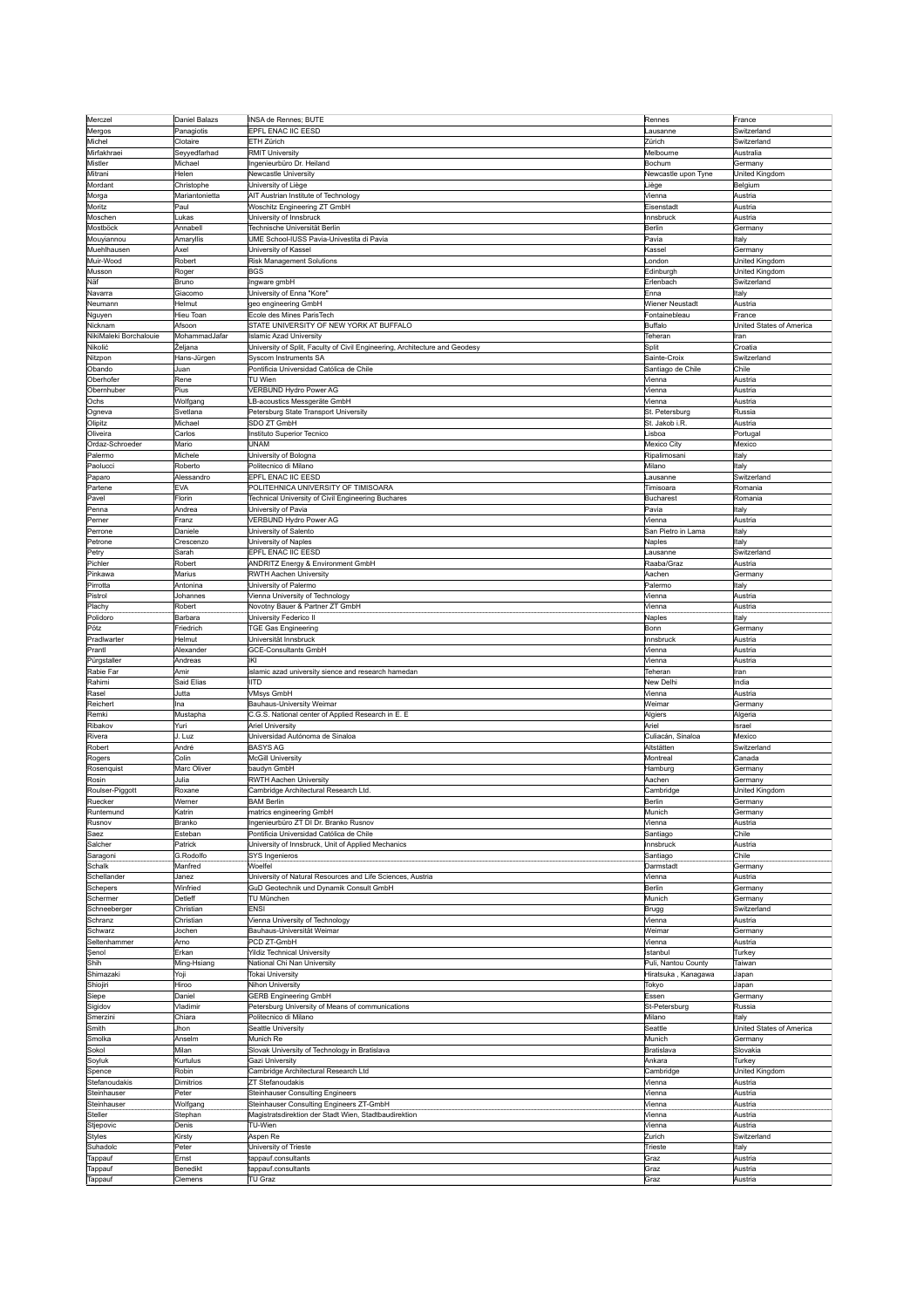| Merczel                | Daniel Balazs       | INSA de Rennes; BUTE                                                        | Rennes              | France                   |
|------------------------|---------------------|-----------------------------------------------------------------------------|---------------------|--------------------------|
| Mergos                 | Panagiotis          | EPFL ENAC IIC EESD                                                          | Lausanne            | Switzerland              |
| Michel                 | Clotaire            | ETH Zürich                                                                  | Zürich              | Switzerland              |
|                        |                     |                                                                             |                     |                          |
| Mirfakhraei            | Seyyedfarhad        | <b>RMIT University</b>                                                      | Melbourne           | Australia                |
| Mistler                | Michael             | Ingenieurbüro Dr. Heiland                                                   | Bochum              | Germany                  |
| Mitrani                | Helen               | Newcastle University                                                        | Newcastle upon Tyne | United Kingdom           |
| Mordant                | Christophe          | University of Liège                                                         | Liège               | Belgium                  |
| Morga                  | Mariantonietta      | AIT Austrian Institute of Technology                                        | Vienna              | Austria                  |
| Moritz                 | Paul                | Woschitz Engineering ZT GmbH                                                | Eisenstadt          | Austria                  |
| Moschen                | Lukas               | University of Innsbruck                                                     | <b>Innsbruck</b>    | Austria                  |
|                        |                     |                                                                             |                     |                          |
| Mostböck               | Annabell            | Technische Universität Berlin                                               | Berlin              | Germany                  |
| Mouyiannou             | Amaryllis           | UME School-IUSS Pavia-Univestita di Pavia                                   | Pavia               | Italy                    |
| Muehlhausen            | Axel                | University of Kassel                                                        | Kassel              | Germany                  |
| Muir-Wood              | Robert              | Risk Management Solutions                                                   | _ondon              | United Kingdom           |
| Musson                 | Roger               | BGS                                                                         | Edinburgh           | United Kingdom           |
| Näf                    | Bruno               | Ingware gmbH                                                                | Erlenbach           | Switzerland              |
| Navarra                | Giacomo             | University of Enna "Kore"                                                   | Enna                | Italy                    |
|                        |                     |                                                                             |                     |                          |
| Neumanr                | Helmut              | geo engineering GmbH                                                        | Wiener Neustadt     | Austria                  |
| Nguyen                 | Hieu Toan           | Ecole des Mines ParisTech                                                   | Fontainebleau       | France                   |
| Nicknam                | Afsoon              | STATE UNIVERSITY OF NEW YORK AT BUFFALO                                     | Buffalo             | United States of America |
| NikiMaleki Borchalouie | MohammadJafar       | <b>Islamic Azad University</b>                                              | Teheran             | Iran                     |
| Nikolić                | Željana             | University of Split, Faculty of Civil Engineering, Architecture and Geodesy | Split               | Croatia                  |
| Nitzpon                | Hans-Jürgen         | Syscom Instruments SA                                                       | Sainte-Croix        | Switzerland              |
| Obando                 | Juan                | Pontificia Universidad Católica de Chile                                    | Santiago de Chile   | Chile                    |
|                        |                     | TU Wien                                                                     |                     |                          |
| Oberhofer              | Rene                |                                                                             | Vienna              | Austria                  |
| Obernhuber             | Pius                | VERBUND Hydro Power AG                                                      | Vienna              | Austria                  |
| Ochs                   | Wolfgang            | B-acoustics Messgeräte GmbH                                                 | Vienna              | Austria                  |
| Ogneva                 | Svetlana            | Petersburg State Transport University                                       | St. Petersburg      | Russia                   |
| Olipitz                | Michael             | SDO ZT GmbH                                                                 | St. Jakob i.R.      | Austria                  |
| Oliveira               | Carlos              | Instituto Superior Tecnico                                                  | Lisboa              | Portugal                 |
|                        | Mario               | UNAM                                                                        |                     | Mexico                   |
| Ordaz-Schroeder        |                     |                                                                             | Mexico City         |                          |
| Palermo                | Michele             | University of Bologna                                                       | Ripalimosani        | Italy                    |
| Paolucci               | Roberto             | Politecnico di Milano                                                       | Milano              | Italy                    |
| aparo                  | Alessandro          | EPFL ENAC IIC EESD                                                          | Lausanne            | Switzerland              |
| Partene                | EVA                 | POLITEHNICA UNIVERSITY OF TIMISOARA                                         | Timisoara           | Romania                  |
| Pavel                  | Florin              | Technical University of Civil Engineering Buchares                          | Bucharest           | Romania                  |
| Penna                  | Andrea              | University of Pavia                                                         | Pavia               | Italy                    |
|                        |                     | VERBUND Hydro Power AG                                                      |                     | Austria                  |
| Perner                 | Franz               |                                                                             | Vienna              |                          |
| Perrone                | Daniele             | University of Salento                                                       | San Pietro in Lama  | Italy                    |
| Petrone                | Crescenzo           | University of Naples                                                        | Naples              | Italy                    |
| Petry                  | Sarah               | EPFL ENAC IIC EESD                                                          | ausanne             | Switzerland              |
| Pichler                | Robert              | ANDRITZ Energy & Environment GmbH                                           | Raaba/Graz          | Austria                  |
| Pinkawa                | Marius              | <b>RWTH Aachen University</b>                                               | Aachen              | Germany                  |
| Pirrotta               | Antonina            | University of Palermo                                                       | Palermo             | Italy                    |
|                        |                     |                                                                             |                     |                          |
| Pistrol                | Johannes            | Vienna University of Technology                                             | Vienna              | Austria                  |
| Plachy                 | Robert              | Novotny Bauer & Partner ZT GmbH                                             | Vienna              | Austria                  |
| Polidoro               | Barbara             | University Federico I                                                       | Naples              | Italy                    |
| Pötz                   | Friedrich           | <b>TGE Gas Engineering</b>                                                  | Bonn                | Germany                  |
| Pradlwarter            | Helmut              | Universität Innsbruck                                                       | Innsbruck           | Austria                  |
| Prantl                 | Alexander           | GCE-Consultants GmbH                                                        | Vienna              | Austria                  |
| Pürgstaller            | Andreas             | IKI                                                                         | Vienna              | Austria                  |
|                        |                     |                                                                             |                     |                          |
| Rabie Far              | Amir                | islamic azad university sience and research hamedan                         | Teheran             | Iran                     |
| Rahimi                 | Said Elias          | <b>IITD</b>                                                                 | New Delh            | India                    |
| Rasel                  | Jutta               | <b>VMsys GmbH</b>                                                           | Vienna              | Austria                  |
| Reichert               | Ina                 | <b>Bauhaus-University Weimar</b>                                            | Weimar              | Germany                  |
| Remki                  | Mustapha            | C.G.S. National center of Applied Research in E. E                          | Algiers             | Algeria                  |
| Ribakov                | Yuri                | <b>Ariel University</b>                                                     | Ariel               | Israel                   |
| Rivera                 | J. Luz              | Universidad Autónoma de Sinaloa                                             | Culiacán, Sinaloa   | Mexico                   |
|                        | André               | <b>BASYS AG</b>                                                             | Altstätten          |                          |
| Robert                 |                     |                                                                             |                     | Switzerland              |
| Rogers                 | Colin               | <b>McGill University</b>                                                    | Montrea             | Canada                   |
| Rosenquist             | Marc Oliver         | baudyn GmbH                                                                 | Hamburg             | Germany                  |
| Rosin                  | Julia               | RWTH Aachen University                                                      | Aachen              | Germany                  |
| Roulser-Piggott        | Roxane              | Cambridge Architectural Research Ltd                                        | Cambridge           | United Kingdom           |
| Ruecker                | Werner              | <b>BAM Berlin</b>                                                           | Berlin              |                          |
| Runtemund              | Katrin              |                                                                             |                     |                          |
|                        |                     |                                                                             |                     | Germany                  |
| Rusnov                 |                     | matrics engineering GmbH                                                    | Munich              | Germany                  |
|                        | Branko              | Ingenieurbüro ZT DI Dr. Branko Rusnov                                       | Vienna              | Austria                  |
| Saez                   | Esteban             | Pontificia Universidad Católica de Chile                                    | Santiago            | Chile                    |
| Salcher                | Patrick             | University of Innsbruck, Unit of Applied Mechanics                          | Innsbruck           | Austria                  |
| Saragoni               | G.Rodolfo           | SYS Ingenieros                                                              | Santiago            | Chile                    |
| Schalk                 | Manfred             | Woelfel                                                                     | Darmstadt           | Germany                  |
| Schellander            | Janez               | University of Natural Resources and Life Sciences, Austria                  | Vienna              | Austria                  |
| Schepers               | Winfried            | GuD Geotechnik und Dynamik Consult GmbH                                     | Berlin              | Germany                  |
|                        | Detleff             | TU München                                                                  |                     |                          |
| Schermer               |                     |                                                                             | Munich              | Germany                  |
| Schneeberger           | Christian           | <b>ENSI</b>                                                                 | Brugg               | Switzerland              |
| Schranz                | Christian           | Vienna University of Technology                                             | Vienna              | Austria                  |
| Schwarz                | Jochen              | Bauhaus-Universität Weimar                                                  | Weimar              | Germany                  |
| Seltenhammer           | Arno                | PCD ZT-GmbH                                                                 | Vienna              | Austria                  |
| Şenol                  | Erkan               | <b>Yildiz Technical University</b>                                          | Istanbul            | Turkey                   |
| Shih                   | Ming-Hsiang         | National Chi Nan University                                                 | Puli, Nantou County | Taiwan                   |
| Shimazaki              | Yoji                | <b>Tokai University</b>                                                     | Hiratsuka, Kanagawa | Japan                    |
|                        | Hiroo               | Nihon University                                                            | Tokyo               | <b>Japan</b>             |
| Shiojiri               |                     |                                                                             |                     |                          |
| Siepe                  | Daniel              | <b>GERB Engineering GmbH</b>                                                | Essen               | Germany                  |
| Sigidov                | Vladimir            | Petersburg University of Means of communications                            | St-Petersburg       | Russia                   |
| Smerzini               | Chiara              | Politecnico di Milano                                                       | Milano              | Italy                    |
| Smith                  | Jhon                | Seattle University                                                          | Seattle             | United States of America |
| Smolka                 | Anselm              | Munich Re                                                                   | Munich              | Germany                  |
| Sokol                  | Milan               | Slovak University of Technology in Bratislava                               | Bratislava          | Slovakia                 |
|                        |                     |                                                                             |                     |                          |
| Soyluk                 | Kurtulus            | Gazi University                                                             | Ankara              | Turkey                   |
| Spence                 | Robin               | Cambridge Architectural Research Ltd                                        | Cambridge           | United Kingdom           |
| Stefanoudakis          | Dimitrios           | ZT Stefanoudakis                                                            | Vienna              | Austria                  |
| Steinhauser            | Peter               | Steinhauser Consulting Engineers                                            | Vienna              | Austria                  |
| Steinhauser            | Wolfgang            | Steinhauser Consulting Engineers ZT-GmbH                                    | Vienna              | Austria                  |
| Steller                | Stephan             | Magistratsdirektion der Stadt Wien, Stadtbaudirektion                       | Vienna              | Austria                  |
| Stjepovic              | Denis               | TU-Wien                                                                     | Vienna              | Austria                  |
| <b>Styles</b>          | Kirsty              | Aspen Re                                                                    | Zurich              | Switzerland              |
|                        |                     |                                                                             |                     |                          |
| Suhadolc               | Peter               | University of Trieste                                                       | Trieste             | <b>Italy</b>             |
| Tappauf                | Ernst               | tappauf.consultants                                                         | Graz                | Austria                  |
| Tappauf<br>Tappauf     | Benedikt<br>Clemens | tappauf.consultants<br>TU Graz                                              | Graz<br>Graz        | Austria<br>Austria       |